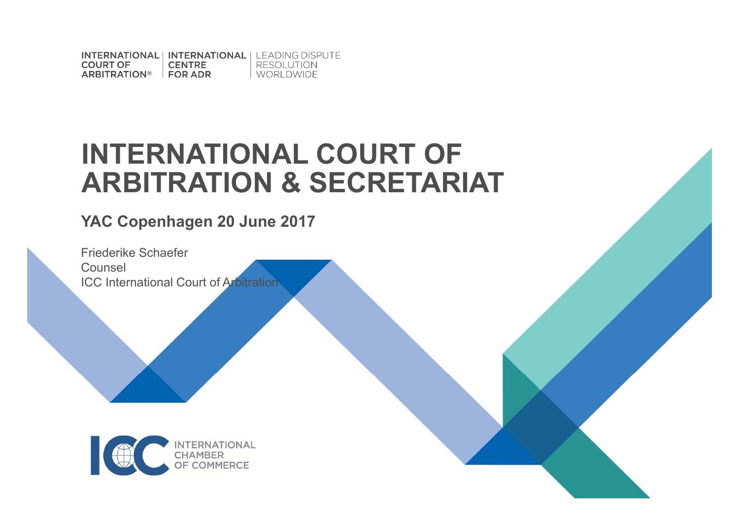INTERNATIONAL | INTERNATIONAL | LEADING DISPUTE **COURT OF CENTRE RESOLUTION** ARBITRATION® FOR ADR WORLDWIDE

## **INTERNATIONAL COURT OF ARBITRATION & SECRETARIAT**

**YAC Copenhagen 20 June 2017**

Friederike Schaefer Counsel ICC International Court of Arbitration

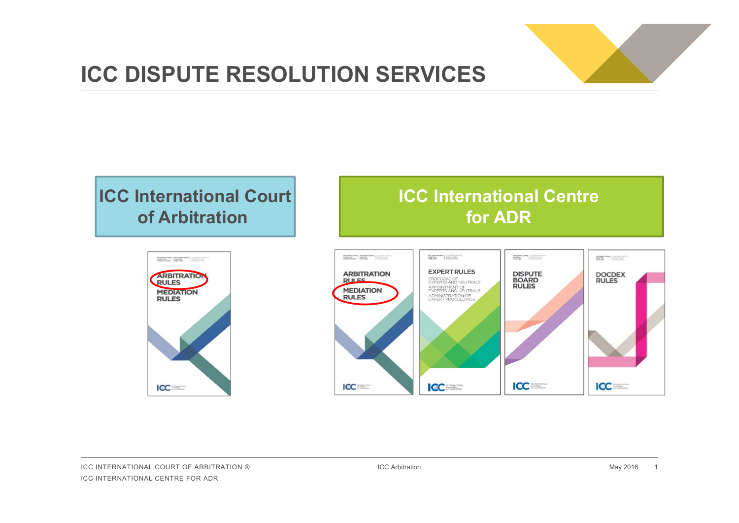

## **ICC DISPUTE RESOLUTION SERVICES**

### **ICC International Court of Arbitration**

### INTERNATIONAL INTERNATIONAL | 12/21/12/2012 ARBITRATION **RULES MEDIATION RULES ICC**

### **ICC International Centre for ADR**

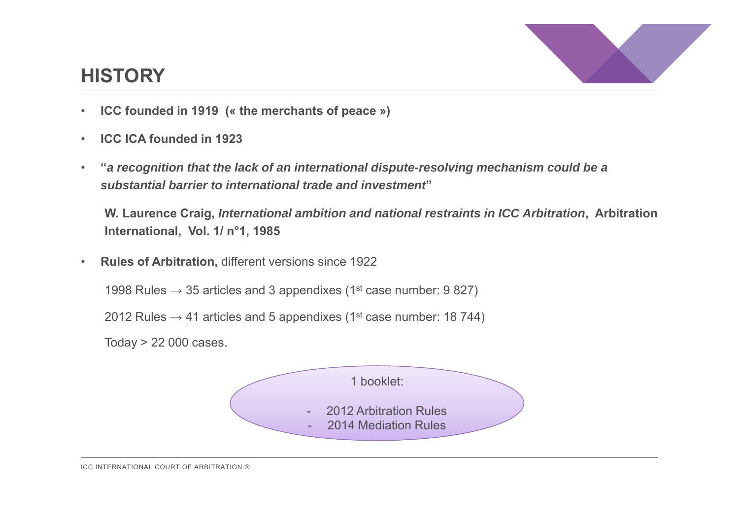

### **HISTORY**

- •**ICC founded in 1919 (« the merchants of peace »)**
- $\bullet$ **ICC ICA founded in 1923**
- $\bullet$  **"***a recognition that the lack of an international dispute-resolving mechanism could be a substantial barrier to international trade and investment***"**

**W. Laurence Craig,** *International ambition and national restraints in ICC Arbitration***, Arbitration International, Vol. 1/ n°1, 1985**

 $\bullet$ **Rules of Arbitration,** different versions since 1922

1998 Rules  $\rightarrow$  35 articles and 3 appendixes (1<sup>st</sup> case number: 9 827)

2012 Rules  $\rightarrow$  41 articles and 5 appendixes (1<sup>st</sup> case number: 18 744)

Today > 22 000 cases.



ICC INTERNATIONAL COURT OF ARBITRATION ®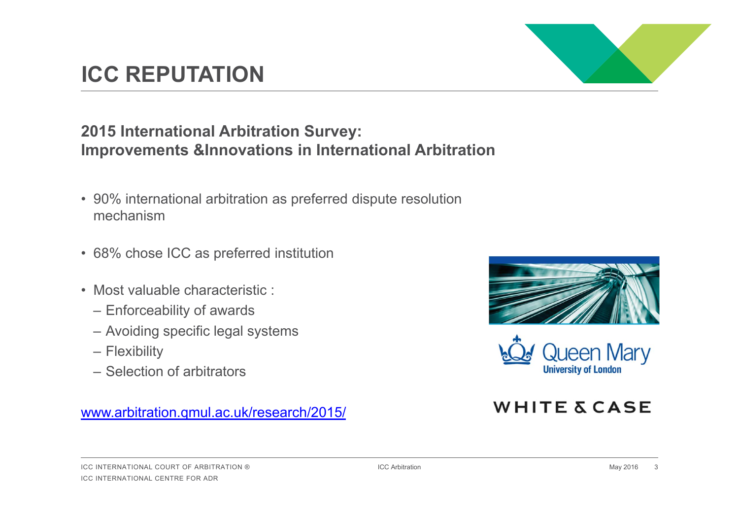#### ICC INTERNATIONAL COURT OF ARBITRATION ®ICC INTERNATIONAL CENTRE FOR ADR

### **ICC REPUTATION**

#### **2015 International Arbitration Survey: Improvements &Innovations in International Arbitration**

- 90% international arbitration as preferred dispute resolution mechanism
- 68% chose ICC as preferred institution
- Most valuable characteristic :
	- Enforceability of awards
	- Avoiding specific legal systems
	- Flexibility
	- Selection of arbitrators

#### www.arbitration.qmul.ac.uk/research/2015/





#### **WHITE & CASE**



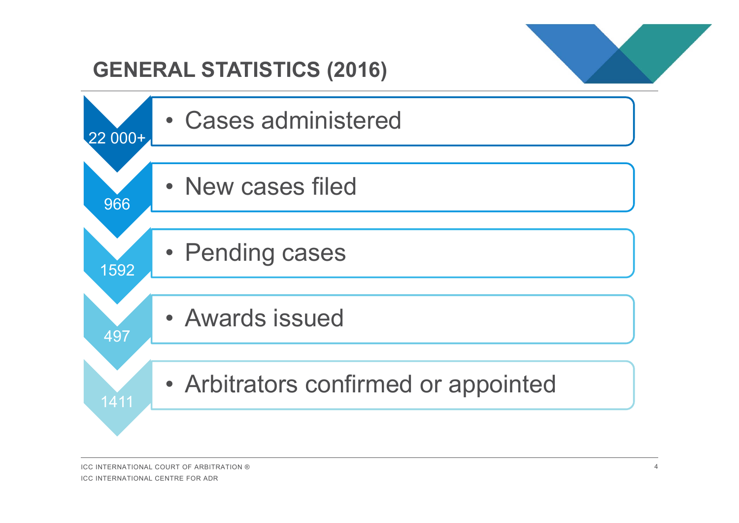

### **GENERAL STATISTICS (2016)**

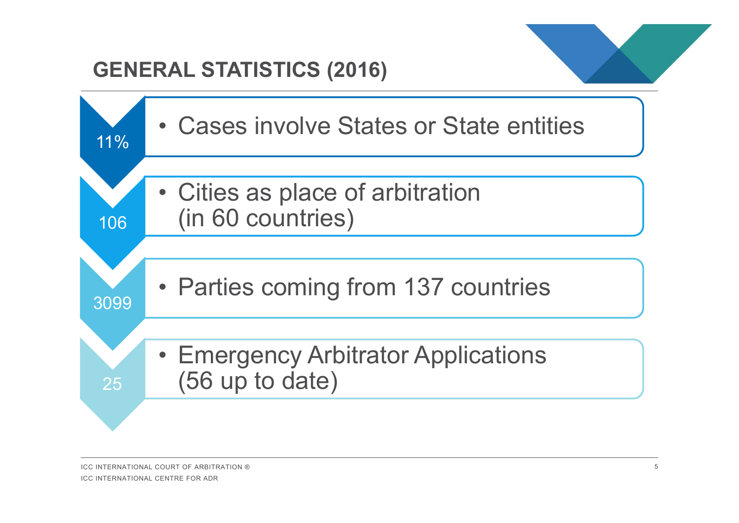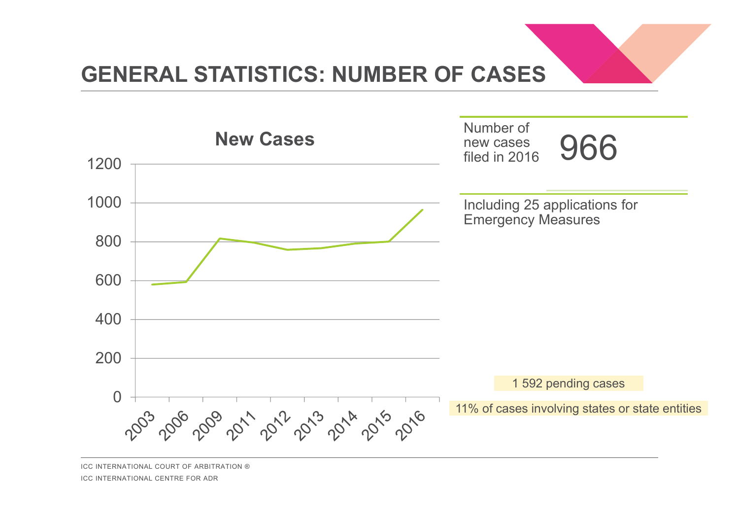

## **GENERAL STATISTICS: NUMBER OF CASES**



ICC INTERNATIONAL COURT OF ARBITRATION ® ICC INTERNATIONAL CENTRE FOR ADR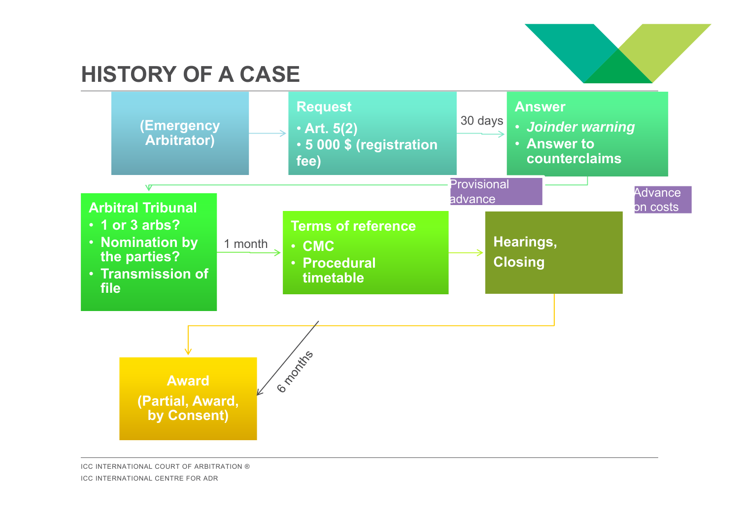## **HISTORY OF A CASE**



ICC INTERNATIONAL COURT OF ARBITRATION ® ICC INTERNATIONAL CENTRE FOR ADR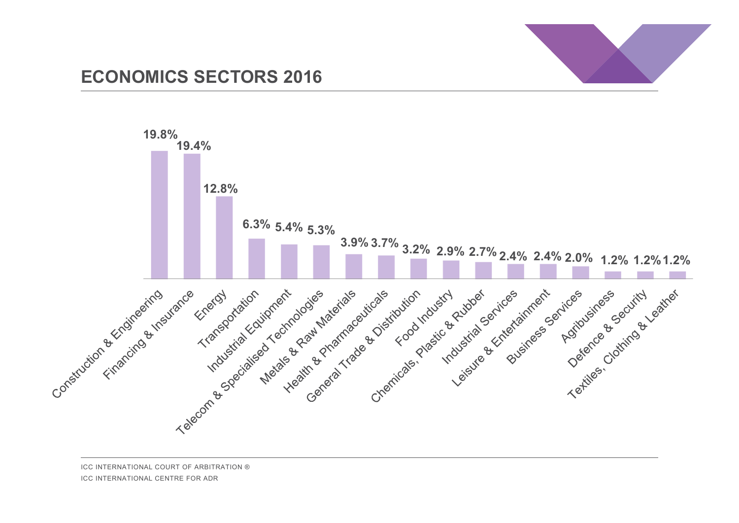

#### **ECONOMICS SECTORS 2016**

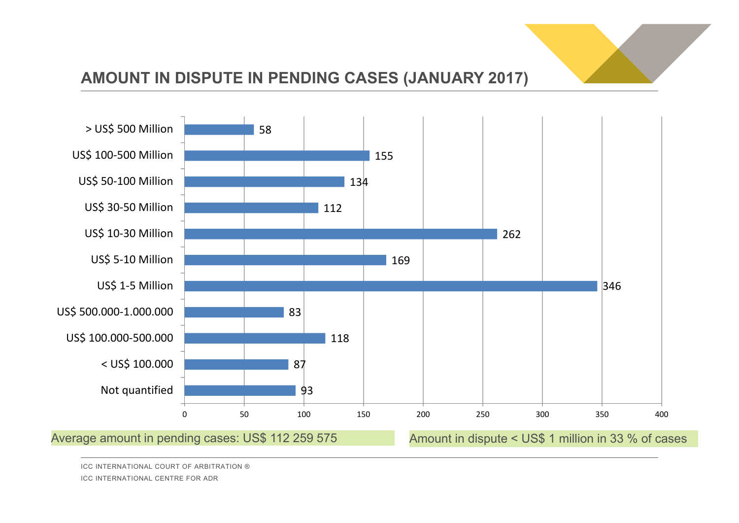

#### **AMOUNT IN DISPUTE IN PENDING CASES (JANUARY 2017)**



ICC INTERNATIONAL COURT OF ARBITRATION ® ICC INTERNATIONAL CENTRE FOR ADR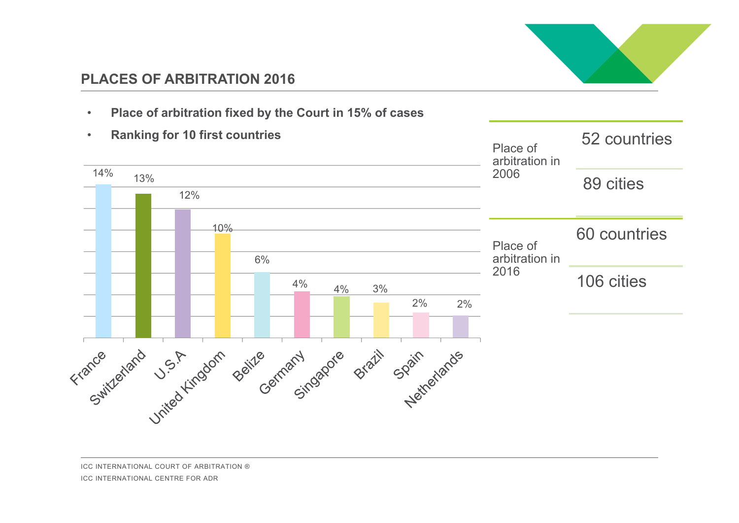

#### **PLACES OF ARBITRATION 2016**

•**Place of arbitration fixed by the Court in 15% of cases**

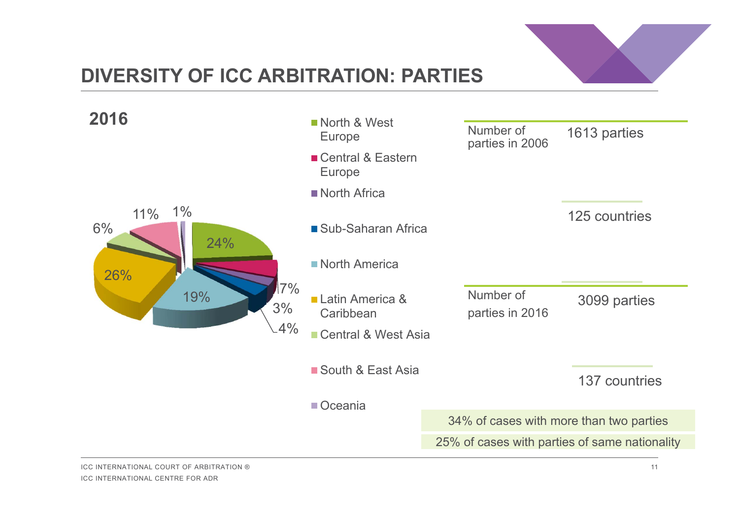

### **DIVERSITY OF ICC ARBITRATION: PARTIES**

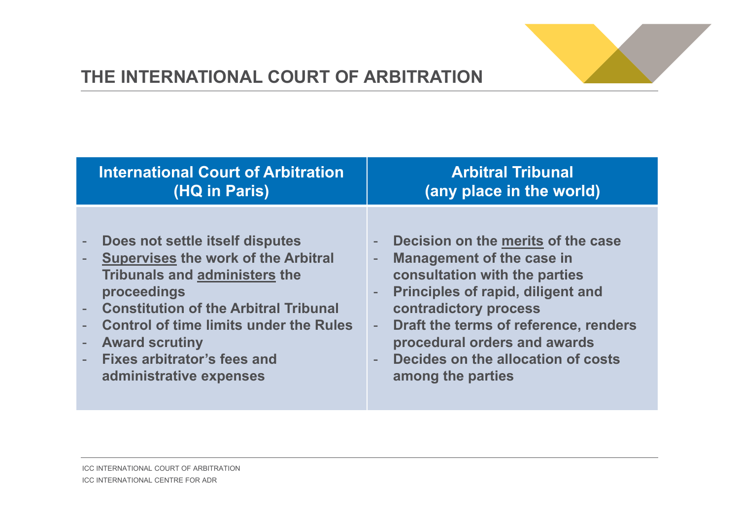

### **THE INTERNATIONAL COURT OF ARBITRATION**

| <b>International Court of Arbitration</b>                                                                                                                                                                                                                                                                           | <b>Arbitral Tribunal</b>                                                                                                                                                                                                                                                                                                                                                                                         |
|---------------------------------------------------------------------------------------------------------------------------------------------------------------------------------------------------------------------------------------------------------------------------------------------------------------------|------------------------------------------------------------------------------------------------------------------------------------------------------------------------------------------------------------------------------------------------------------------------------------------------------------------------------------------------------------------------------------------------------------------|
| (HQ in Paris)                                                                                                                                                                                                                                                                                                       | (any place in the world)                                                                                                                                                                                                                                                                                                                                                                                         |
| Does not settle itself disputes<br><b>Supervises the work of the Arbitral</b><br>Tribunals and administers the<br>proceedings<br>- Constitution of the Arbitral Tribunal<br><b>Control of time limits under the Rules</b><br><b>Award scrutiny</b><br><b>Fixes arbitrator's fees and</b><br>administrative expenses | Decision on the merits of the case<br>$\overline{\phantom{a}}$<br><b>Management of the case in</b><br>$\overline{\phantom{a}}$<br>consultation with the parties<br><b>Principles of rapid, diligent and</b><br>$\overline{\phantom{a}}$<br>contradictory process<br>Draft the terms of reference, renders<br>$\equiv$<br>procedural orders and awards<br>Decides on the allocation of costs<br>among the parties |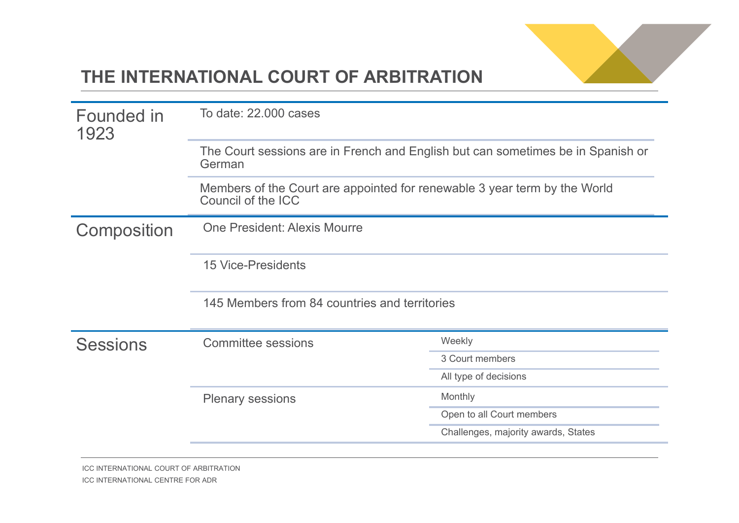

### **THE INTERNATIONAL COURT OF ARBITRATION**

| Founded in<br>1923 | To date: 22,000 cases<br>The Court sessions are in French and English but can sometimes be in Spanish or<br>German |                                     |
|--------------------|--------------------------------------------------------------------------------------------------------------------|-------------------------------------|
|                    |                                                                                                                    |                                     |
|                    | Members of the Court are appointed for renewable 3 year term by the World<br>Council of the ICC                    |                                     |
| Composition        | <b>One President: Alexis Mourre</b>                                                                                |                                     |
|                    | <b>15 Vice-Presidents</b>                                                                                          |                                     |
|                    | 145 Members from 84 countries and territories                                                                      |                                     |
| <b>Sessions</b>    | <b>Committee sessions</b>                                                                                          | Weekly                              |
|                    |                                                                                                                    | 3 Court members                     |
|                    |                                                                                                                    | All type of decisions               |
|                    | <b>Plenary sessions</b>                                                                                            | Monthly                             |
|                    |                                                                                                                    | Open to all Court members           |
|                    |                                                                                                                    | Challenges, majority awards, States |
|                    |                                                                                                                    |                                     |

ICC INTERNATIONAL COURT OF ARBITRATION ICC INTERNATIONAL CENTRE FOR ADR ICC INTERNATIONAL CENTRE FOR ADR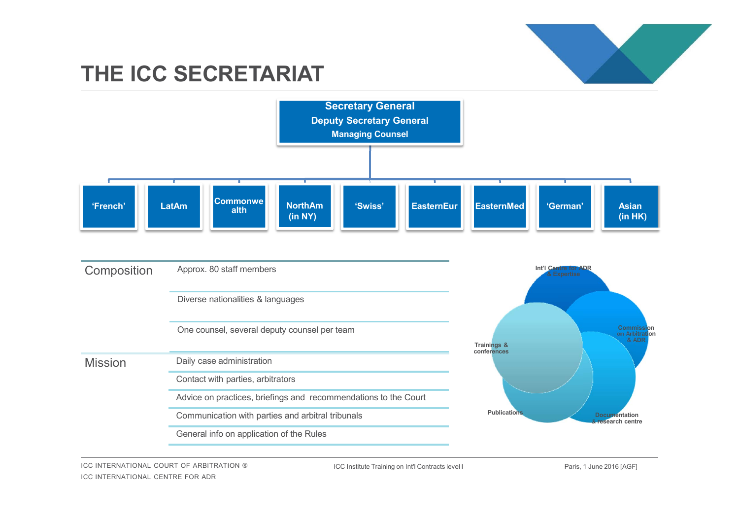

### **THE ICC SECRETARIAT**



ICC INTERNATIONAL COURT OF ARBITRATION ® ICC INTERNATIONAL CENTRE FOR ADR

ICC Institute Training on Int'l Contracts level I Paris, 1 June 2016 [AGF]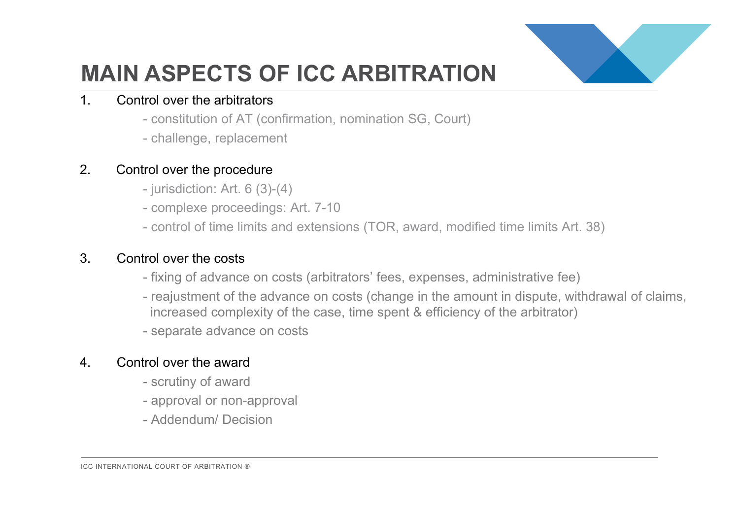

## **MAIN ASPECTS OF ICC ARBITRATION**

#### 1. Control over the arbitrators

- constitution of AT (confirmation, nomination SG, Court)
- challenge, replacement

#### 2. Control over the procedure

- jurisdiction: Art. 6 (3)-(4)
- complexe proceedings: Art. 7-10
- control of time limits and extensions (TOR, award, modified time limits Art. 38)

#### 3. Control over the costs

- fixing of advance on costs (arbitrators' fees, expenses, administrative fee)
- reajustment of the advance on costs (change in the amount in dispute, withdrawal of claims, increased complexity of the case, time spent & efficiency of the arbitrator)
- separate advance on costs

#### 4. Control over the award

- scrutiny of award
- approval or non-approval
- Addendum/ Decision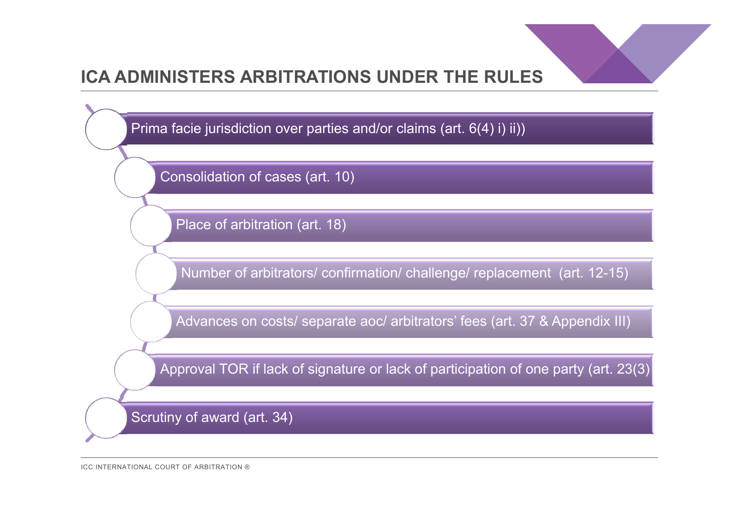

### **ICA ADMINISTERS ARBITRATIONS UNDER THE RULES**

Prima facie jurisdiction over parties and/or claims (art. 6(4) i) ii))

Consolidation of cases (art. 10)

Place of arbitration (art. 18)

Number of arbitrators/ confirmation/ challenge/ replacement (art. 12-15)

Advances on costs/ separate aoc/ arbitrators' fees (art. 37 & Appendix III)

Approval TOR if lack of signature or lack of participation of one party (art. 23(3)

Scrutiny of award (art. 34)

ICC INTERNATIONAL COURT OF ARBITRATION ®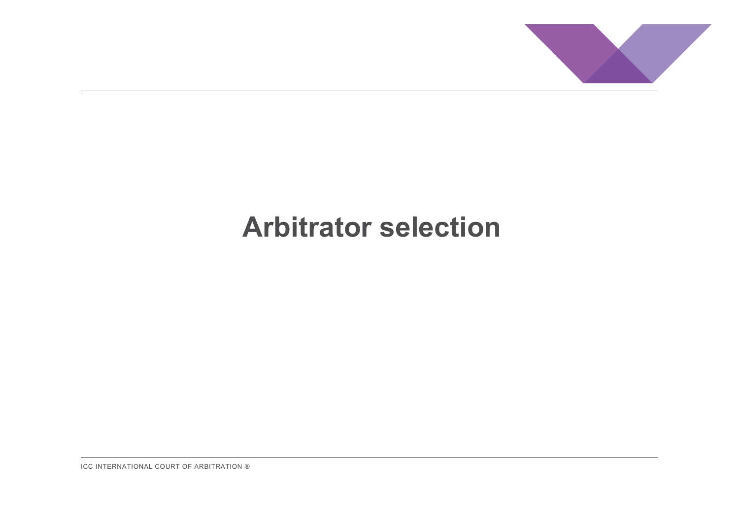

## **Arbitrator selection**

ICC INTERNATIONAL COURT OF ARBITRATION ®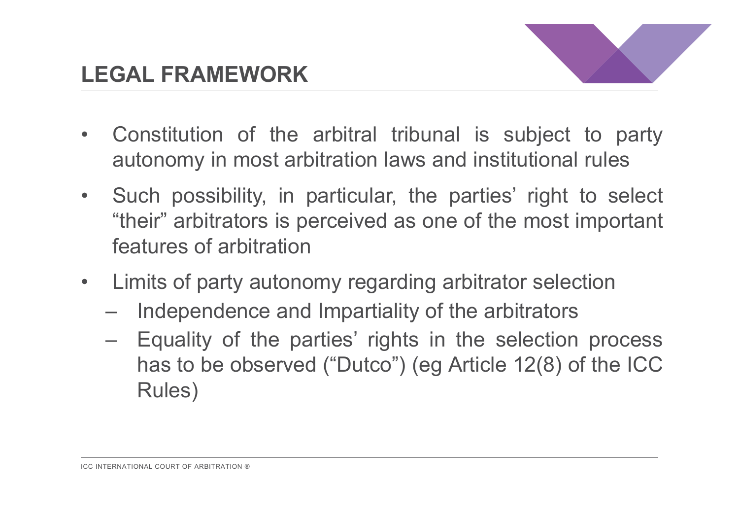

- $\bullet$  Constitution of the arbitral tribunal is subject to party autonomy in most arbitration laws and institutional rules
- $\bullet$  Such possibility, in particular, the parties' right to select "their" arbitrators is perceived as one of the most important features of arbitration
- $\bullet$  Limits of party autonomy regarding arbitrator selection
	- Independence and Impartiality of the arbitrators
	- Equality of the parties' rights in the selection process has to be observed ("Dutco") (eg Article 12(8) of the ICC Rules)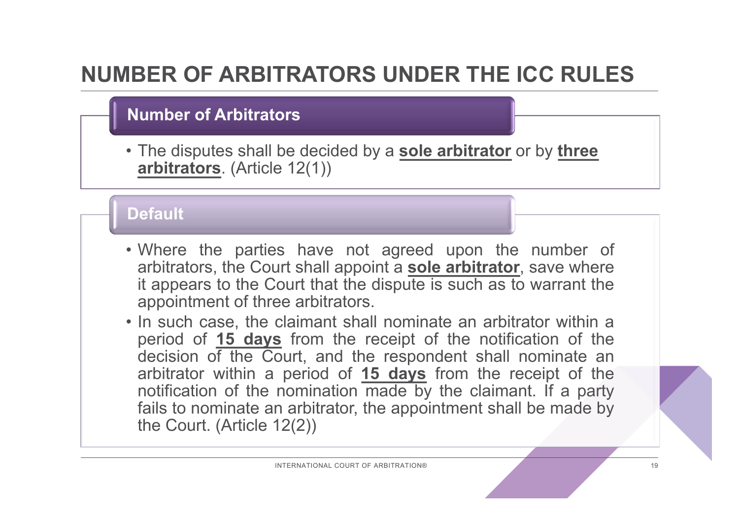## **NUMBER OF ARBITRATORS UNDER THE ICC RULES**

### **Number of Arbitrators**

• The disputes shall be decided by a **sole arbitrator** or by **three arbitrators**. (Article 12(1))

#### **Default**

- Where the parties have not agreed upon the number of arbitrators, the Court shall appoint <sup>a</sup> **sole arbitrator**, save where it appears to the Court that the dispute is such as to warrant the appointment of three arbitrators.
- In such case, the claimant shall nominate an arbitrator within <sup>a</sup> period of **15 days** from the receipt of the notification of the decision of the Court, and the respondent shall nominate an arbitrator within <sup>a</sup> period of **15 days** from the receipt of the notification of the nomination made by the claimant. If <sup>a</sup> party fails to nominate an arbitrator, the appointment shall be made by the Court. (Article 12(2))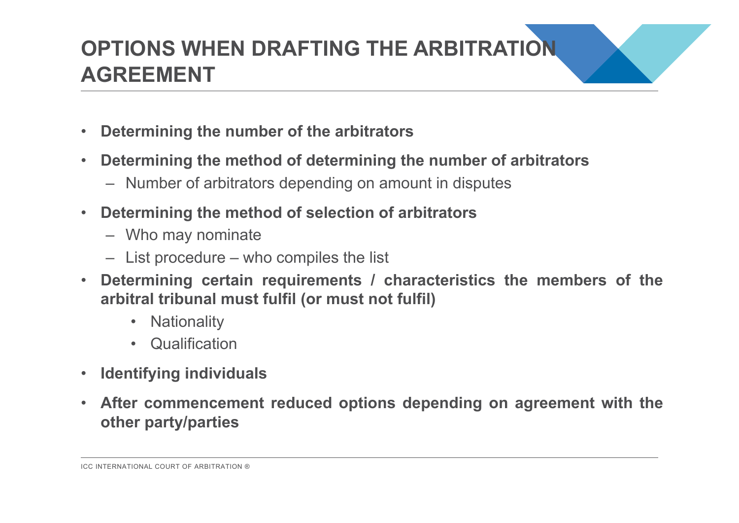## **OPTIONS WHEN DRAFTING THE ARBITRATION AGREEMENT**

- •**Determining the number of the arbitrators**
- $\bullet$  **Determining the method of determining the number of arbitrators**
	- Number of arbitrators depending on amount in disputes
- $\bullet$  **Determining the method of selection of arbitrators**
	- Who may nominate
	- List procedure who compiles the list
- $\bullet$  **Determining certain requirements / characteristics the members of the arbitral tribunal must fulfil (or must not fulfil)**
	- Nationality
	- Qualification
- •**Identifying individuals**
- $\bullet$  **After commencement reduced options depending on agreement with the other party/parties**

ICC INTERNATIONAL COURT OF ARBITRATION ®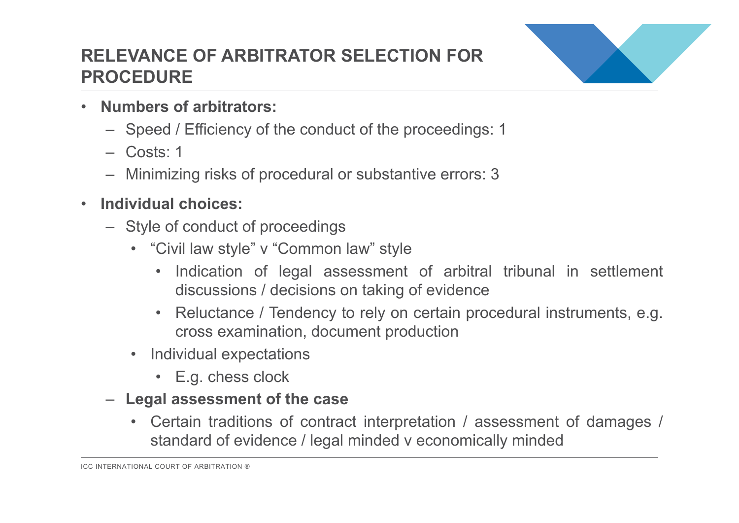### **RELEVANCE OF ARBITRATOR SELECTION FOR PROCEDURE**



- • **Numbers of arbitrators:**
	- Speed / Efficiency of the conduct of the proceedings: 1
	- Costs: 1
	- Minimizing risks of procedural or substantive errors: 3
- $\bullet$  **Individual choices:**
	- Style of conduct of proceedings
		- "Civil law style" <sup>v</sup> "Common law" style
			- • Indication of legal assessment of arbitral tribunal in settlement discussions / decisions on taking of evidence
			- • Reluctance / Tendency to rely on certain procedural instruments, e.g. cross examination, document production
		- Individual expectations
			- E.g. chess clock
	- **Legal assessment of the case**
		- Certain traditions of contract interpretation / assessment of damages / standard of evidence / legal minded <sup>v</sup> economically minded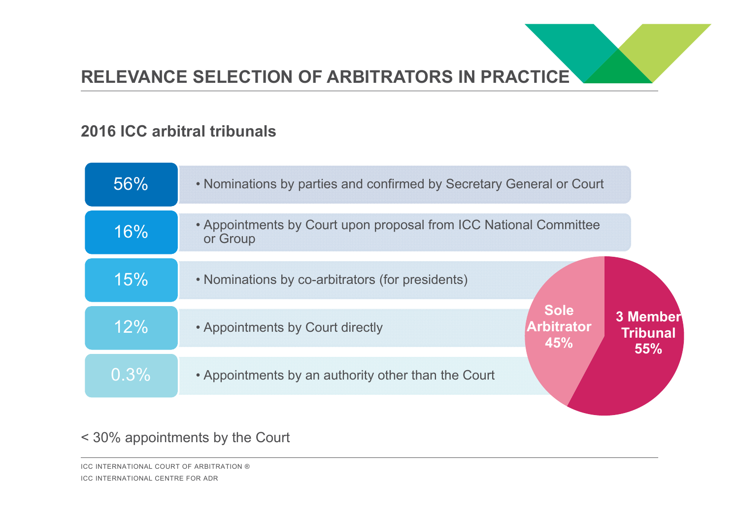#### **2016 ICC arbitral tribunals**

| 56%  | . Nominations by parties and confirmed by Secretary General or Court          |                                    |
|------|-------------------------------------------------------------------------------|------------------------------------|
| 16%  | • Appointments by Court upon proposal from ICC National Committee<br>or Group |                                    |
| 15%  | • Nominations by co-arbitrators (for presidents)                              |                                    |
| 12%  | <b>Sole</b><br><b>Arbitrator</b><br>• Appointments by Court directly<br>45%   | 3 Member<br><b>Tribunal</b><br>55% |
| 0.3% | • Appointments by an authority other than the Court                           |                                    |

#### < 30% appointments by the Court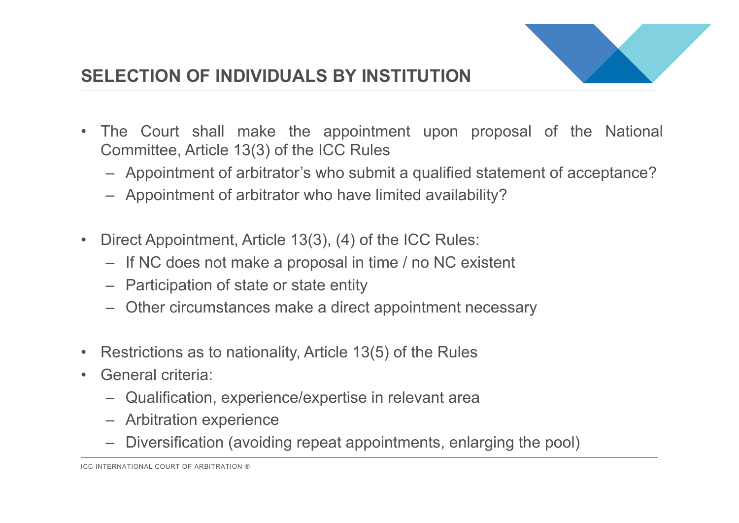

- $\bullet$  The Court shall make the appointment upon proposal of the National Committee, Article 13(3) of the ICC Rules
	- Appointment of arbitrator's who submit <sup>a</sup> qualified statement of acceptance?
	- Appointment of arbitrator who have limited availability?
- • Direct Appointment, Article 13(3), (4) of the ICC Rules:
	- If NC does not make <sup>a</sup> proposal in time / no NC existent
	- Participation of state or state entity
	- Other circumstances make <sup>a</sup> direct appointment necessary
- •Restrictions as to nationality, Article 13(5) of the Rules
- $\bullet$  General criteria:
	- Qualification, experience/expertise in relevant area
	- Arbitration experience
	- Diversification (avoiding repeat appointments, enlarging the pool)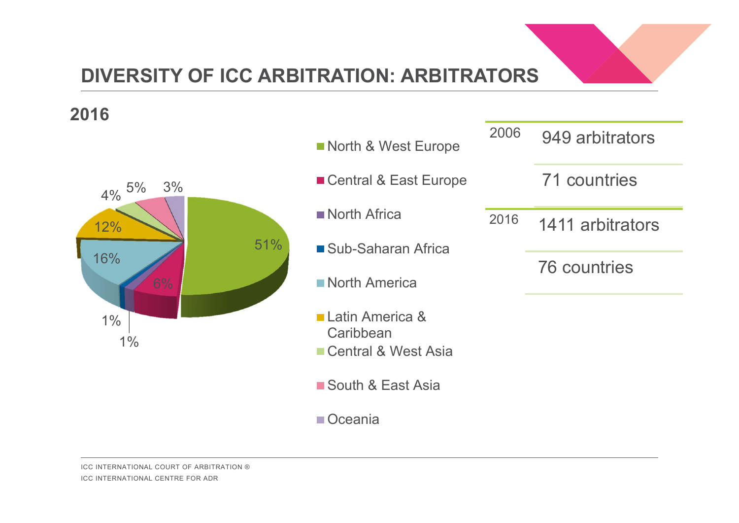

### **DIVERSITY OF ICC ARBITRATION: ARBITRATORS**

#### **2016**

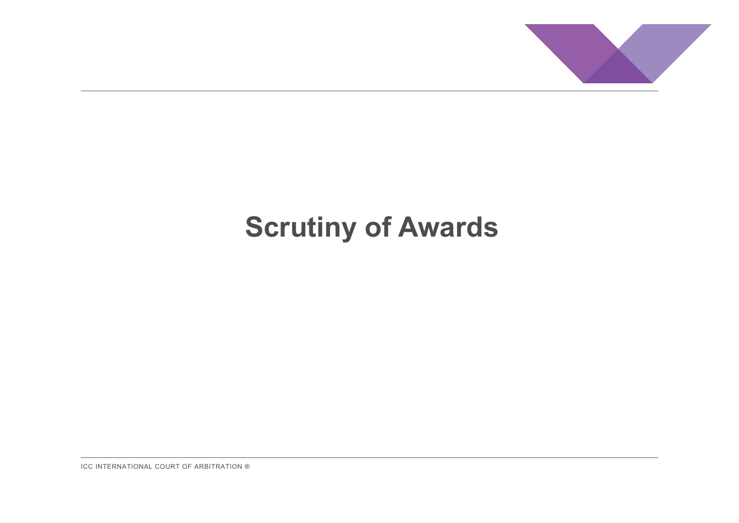

# **Scrutiny of Awards**

ICC INTERNATIONAL COURT OF ARBITRATION ®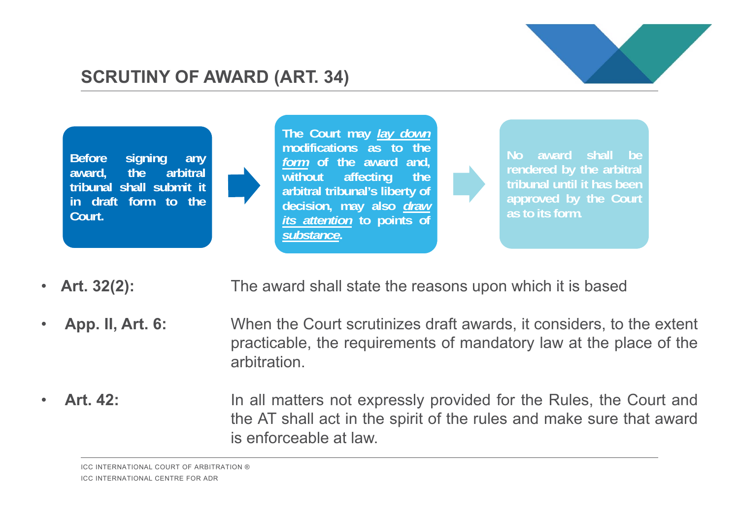

### **SCRUTINY OF AWARD (ART. 34)**



- •Art. 32(2): The award shall state the reasons upon which it is based
- • **App. II, Art. 6:** When the Court scrutinizes draft awards, it considers, to the extent practicable, the requirements of mandatory law at the place of the arbitration.
- • **Art. 42:** In all matters not expressly provided for the Rules, the Court and the AT shall act in the spirit of the rules and make sure that award is enforceable at law.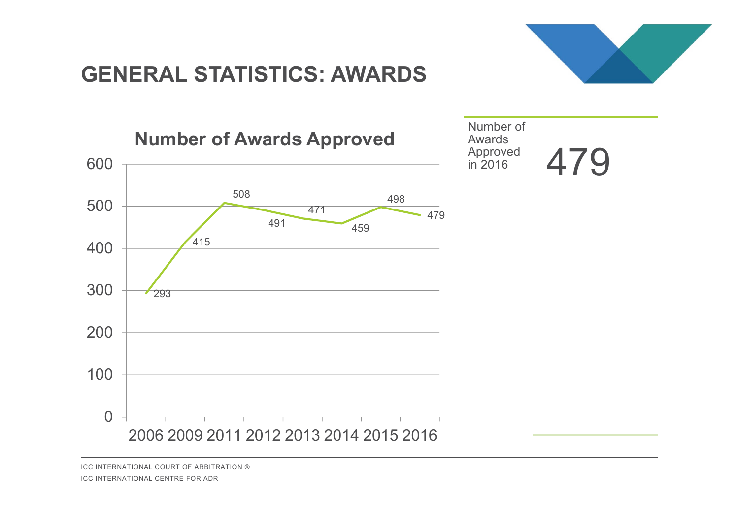### **GENERAL STATISTICS: AWARDS**



ICC INTERNATIONAL COURT OF ARBITRATION ®ICC INTERNATIONAL CENTRE FOR ADR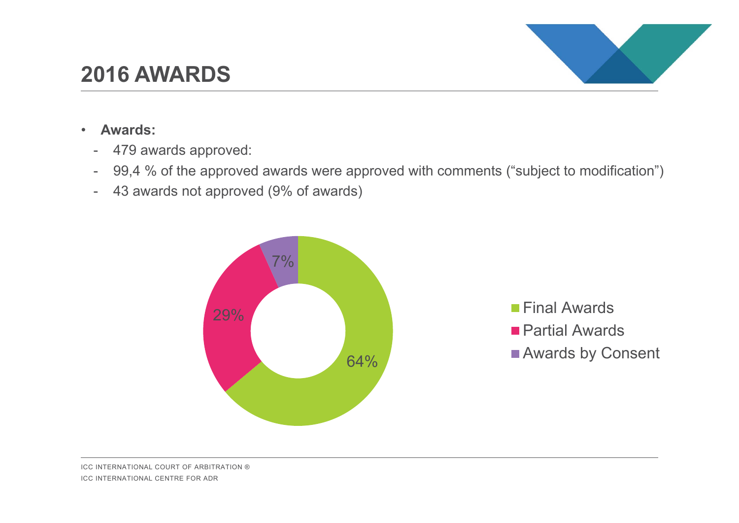#### ICC INTERNATIONAL COURT OF ARBITRATION ®ICC INTERNATIONAL CENTRE FOR ADR

## **2016 AWARDS**

- • **Awards:** 
	- 479 awards approved:
	- 99,4 % of the approved awards were approved with comments ("subject to modification")

64%

-43 awards not approved (9% of awards)

29%

7%



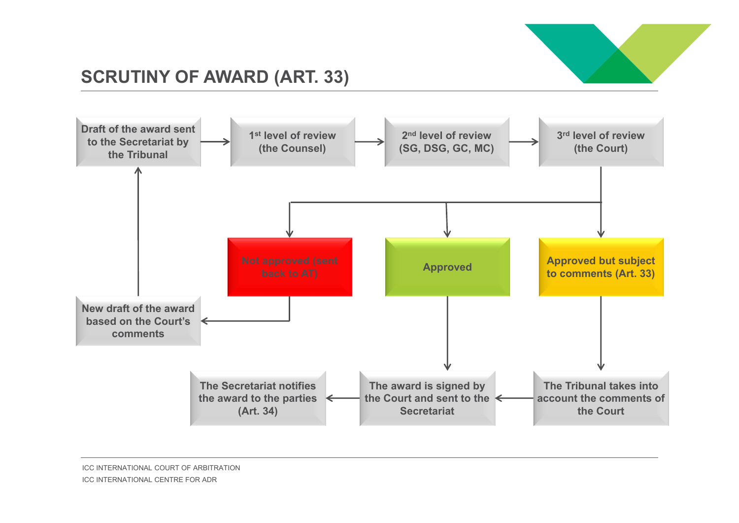

### **SCRUTINY OF AWARD (ART. 33)**

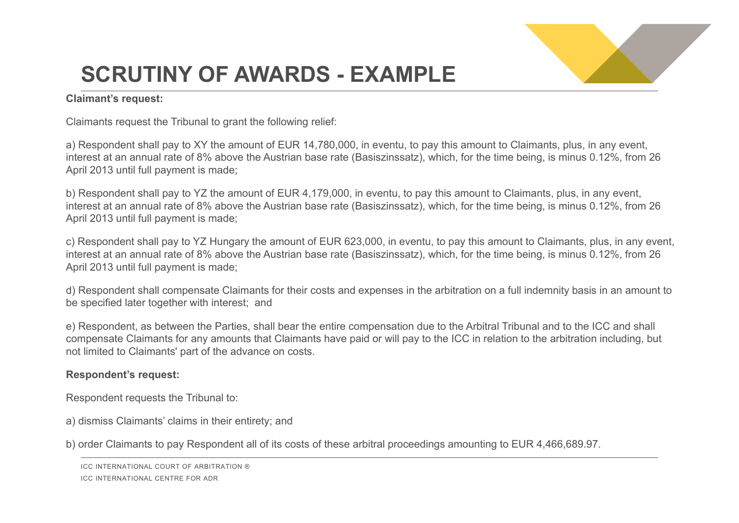

## **SCRUTINY OF AWARDS - EXAMPLE**

#### **Claimant's request:**

Claimants request the Tribunal to grant the following relief:

a) Respondent shall pay to XY the amount of EUR 14,780,000, in eventu, to pay this amount to Claimants, plus, in any event, interest at an annual rate of 8% above the Austrian base rate (Basiszinssatz), which, for the time being, is minus 0.12%, from 26 April 2013 until full payment is made;

b) Respondent shall pay to YZ the amount of EUR 4,179,000, in eventu, to pay this amount to Claimants, plus, in any event, interest at an annual rate of 8% above the Austrian base rate (Basiszinssatz), which, for the time being, is minus 0.12%, from 26 April 2013 until full payment is made;

c) Respondent shall pay to YZ Hungary the amount of EUR 623,000, in eventu, to pay this amount to Claimants, plus, in any event, interest at an annual rate of 8% above the Austrian base rate (Basiszinssatz), which, for the time being, is minus 0.12%, from 26 April 2013 until full payment is made;

d) Respondent shall compensate Claimants for their costs and expenses in the arbitration on a full indemnity basis in an amount to be specified later together with interest; and

e) Respondent, as between the Parties, shall bear the entire compensation due to the Arbitral Tribunal and to the ICC and shall compensate Claimants for any amounts that Claimants have paid or will pay to the ICC in relation to the arbitration including, but not limited to Claimants' part of the advance on costs.

#### **Respondent's request:**

Respondent requests the Tribunal to:

a) dismiss Claimants' claims in their entirety; and

b) order Claimants to pay Respondent all of its costs of these arbitral proceedings amounting to EUR 4,466,689.97.

ICC INTERNATIONAL COURT OF ARBITRATION ®

ICC INTERNATIONAL CENTRE FOR ADR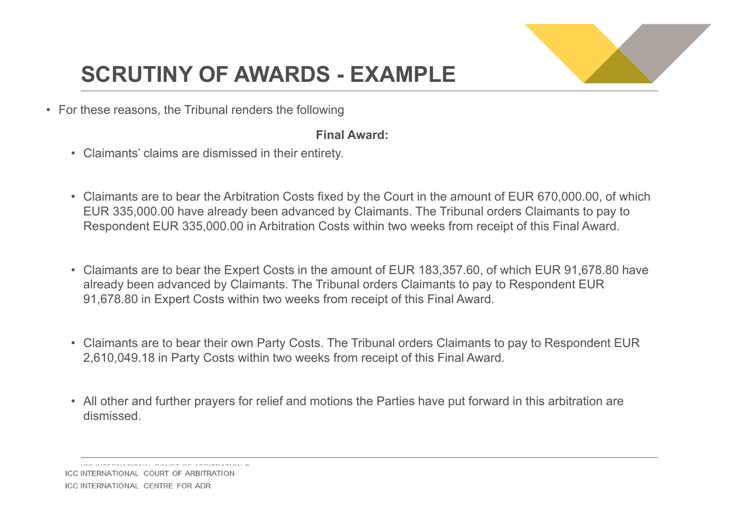

## **SCRUTINY OF AWARDS - EXAMPLE**

• For these reasons, the Tribunal renders the following

#### **Final Award:**

- Claimants' claims are dismissed in their entirety.
- Claimants are to bear the Arbitration Costs fixed by the Court in the amount of EUR 670,000.00, of which EUR 335,000.00 have already been advanced by Claimants. The Tribunal orders Claimants to pay to Respondent EUR 335,000.00 in Arbitration Costs within two weeks from receipt of this Final Award.
- Claimants are to bear the Expert Costs in the amount of EUR 183,357.60, of which EUR 91,678.80 have already been advanced by Claimants. The Tribunal orders Claimants to pay to Respondent EUR 91,678.80 in Expert Costs within two weeks from receipt of this Final Award.
- Claimants are to bear their own Party Costs. The Tribunal orders Claimants to pay to Respondent EUR 2,610,049.18 in Party Costs within two weeks from receipt of this Final Award.
- All other and further prayers for relief and motions the Parties have put forward in this arbitration are dismissed.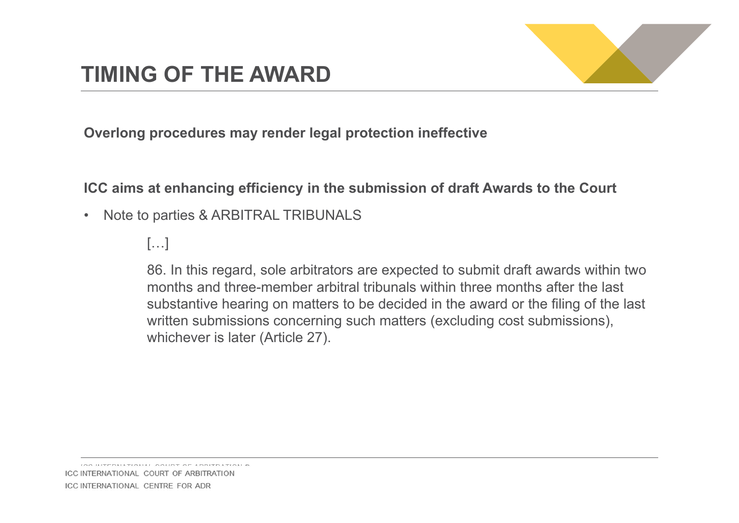

**Overlong procedures may render legal protection ineffective**

**ICC aims at enhancing efficiency in the submission of draft Awards to the Court**

•Note to parties & ARBITRAL TRIBUNALS

 $[\ldots]$ 

86. In this regard, sole arbitrators are expected to submit draft awards within two months and three-member arbitral tribunals within three months after the last substantive hearing on matters to be decided in the award or the filing of the last written submissions concerning such matters (excluding cost submissions), whichever is later (Article 27).